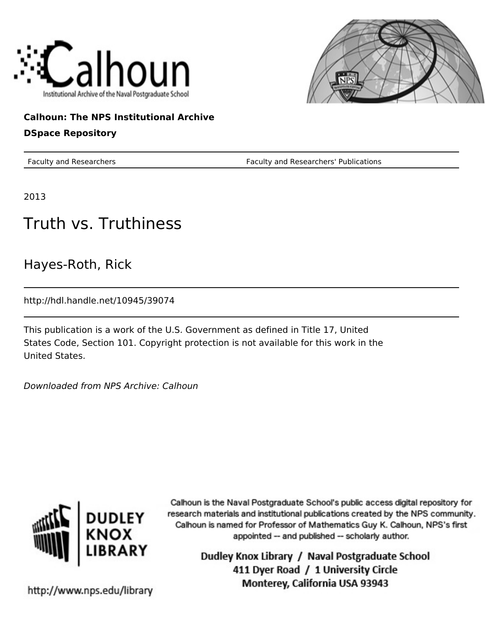



### **Calhoun: The NPS Institutional Archive**

### **DSpace Repository**

Faculty and Researchers Faculty and Researchers' Publications

2013

# Truth vs. Truthiness

Hayes-Roth, Rick

http://hdl.handle.net/10945/39074

This publication is a work of the U.S. Government as defined in Title 17, United States Code, Section 101. Copyright protection is not available for this work in the United States.

Downloaded from NPS Archive: Calhoun



Calhoun is the Naval Postgraduate School's public access digital repository for research materials and institutional publications created by the NPS community. Calhoun is named for Professor of Mathematics Guy K. Calhoun, NPS's first appointed -- and published -- scholarly author.

> Dudley Knox Library / Naval Postgraduate School 411 Dyer Road / 1 University Circle Monterey, California USA 93943

http://www.nps.edu/library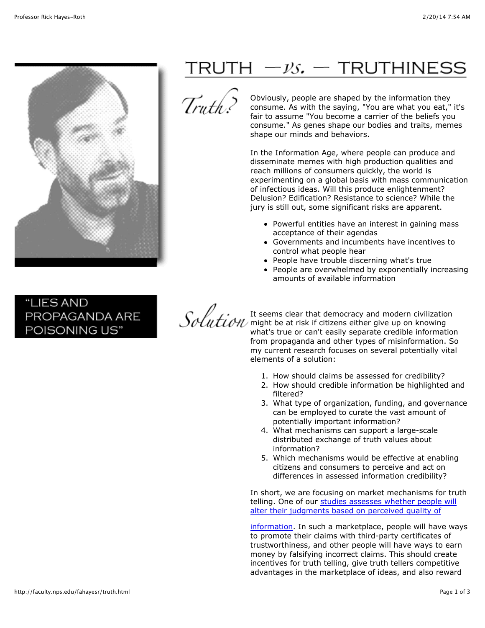

"LIES AND PROPAGANDA ARE POISONING US"

## $\mathsf{T}\mathsf{R}\mathsf{U}\mathsf{T}\mathsf{H} \ -\mathcal{V}\mathcal{S}$ .  $\mathsf{T}\mathsf{R}\mathsf{U}\mathsf{T}\mathsf{H}\mathsf{I}\mathsf{N}\mathsf{E}\mathsf{S}\mathsf{S}$



Obviously, people are shaped by the information they consume. As with the saying, "You are what you eat," it's fair to assume "You become a carrier of the beliefs you consume." As genes shape our bodies and traits, memes shape our minds and behaviors.

In the Information Age, where people can produce and disseminate memes with high production qualities and reach millions of consumers quickly, the world is experimenting on a global basis with mass communication of infectious ideas. Will this produce enlightenment? Delusion? Edification? Resistance to science? While the jury is still out, some significant risks are apparent.

- Powerful entities have an interest in gaining mass acceptance of their agendas
- Governments and incumbents have incentives to control what people hear
- People have trouble discerning what's true
- People are overwhelmed by exponentially increasing amounts of available information

It seems clear that democracy and modern civilization might be at risk if citizens either give up on knowing what's true or can't easily separate credible information from propaganda and other types of misinformation. So my current research focuses on several potentially vital elements of a solution:

- 1. How should claims be assessed for credibility?
- 2. How should credible information be highlighted and filtered?
- 3. What type of organization, funding, and governance can be employed to curate the vast amount of potentially important information?
- 4. What mechanisms can support a large-scale distributed exchange of truth values about information?
- 5. Which mechanisms would be effective at enabling citizens and consumers to perceive and act on differences in assessed information credibility?

In short, we are focusing on market mechanisms for truth telling. One of our studies assesses whether people will alter their judgments based on perceived quality of

[information. In such a marketplace, people will have wa](http://faculty.nps.edu/fahayesr/docs/seals.pdf)ys to promote their claims with third-party certificates of trustworthiness, and other people will have ways to earn money by falsifying incorrect claims. This should create incentives for truth telling, give truth tellers competitive advantages in the marketplace of ideas, and also reward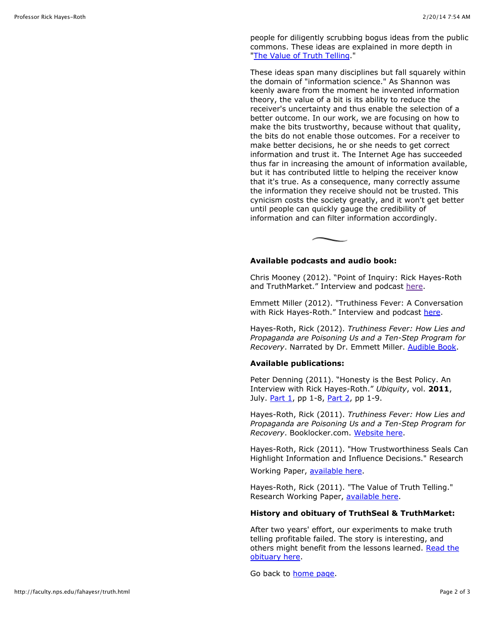people for diligently scrubbing bogus ideas from the public commons. These ideas are explained in more depth in ["The Value of Truth Telling.](http://faculty.nps.edu/fahayesr/docs/The%20Value%20of%20Truth%20Telling.pdf)"

These ideas span many disciplines but fall squarely within the domain of "information science." As Shannon was keenly aware from the moment he invented information theory, the value of a bit is its ability to reduce the receiver's uncertainty and thus enable the selection of a better outcome. In our work, we are focusing on how to make the bits trustworthy, because without that quality, the bits do not enable those outcomes. For a receiver to make better decisions, he or she needs to get correct information and trust it. The Internet Age has succeeded thus far in increasing the amount of information available, but it has contributed little to helping the receiver know that it's true. As a consequence, many correctly assume the information they receive should not be trusted. This cynicism costs the society greatly, and it won't get better until people can quickly gauge the credibility of information and can filter information accordingly.

### **Available podcasts and audio book:**

Chris Mooney (2012). "Point of Inquiry: Rick Hayes-Roth and TruthMarket." Interview and podcast [here.](http://www.pointofinquiry.org/rick_hayes-roth_truthmarket/)

Emmett Miller (2012). "Truthiness Fever: A Conversation with Rick Hayes-Roth." Interview and podcast [here.](http://drmiller.com/2012/03/truthiness-fever-dr-rick-hayes-roth/)

Hayes-Roth, Rick (2012). *Truthiness Fever: How Lies and Propaganda are Poisoning Us and a Ten-Step Program for Recovery*. Narrated by Dr. Emmett Miller. [Audible Book.](http://www.audible.com/pd/ref=sr_1_1?asin=B008JF4SY2&qid=1342131046&sr=1-1)

#### **Available publications:**

Peter Denning (2011). "Honesty is the Best Policy. An Interview with Rick Hayes-Roth." *Ubiquity*, vol. **2011**, July. [Part 1](http://ubiquity.acm.org/article.cfm?id=2002437), pp 1-8, [Part 2,](http://ubiquity.acm.org/article.cfm?id=2002438) pp 1-9.

Hayes-Roth, Rick (2011). *Truthiness Fever: How Lies and Propaganda are Poisoning Us and a Ten-Step Program for Recovery*. Booklocker.com. [Website here.](http://truthinessfever.com/WordPress/)

Hayes-Roth, Rick (2011). "How Trustworthiness Seals Can Highlight Information and Influence Decisions." Research

Working Paper, [available here.](http://faculty.nps.edu/fahayesr/docs/seals.pdf)

Hayes-Roth, Rick (2011). "The Value of Truth Telling." Research Working Paper, [available here.](http://faculty.nps.edu/fahayesr/docs/The%20Value%20of%20Truth%20Telling.pdf)

#### **History and obituary of TruthSeal & TruthMarket:**

After two years' effort, our experiments to make truth telling profitable failed. The story is interesting, and [others might benefit from the lessons learned. Read the](http://www.truthseal.com/) obituary here.

Go back to [home page](http://faculty.nps.edu/fahayesr/index.html).